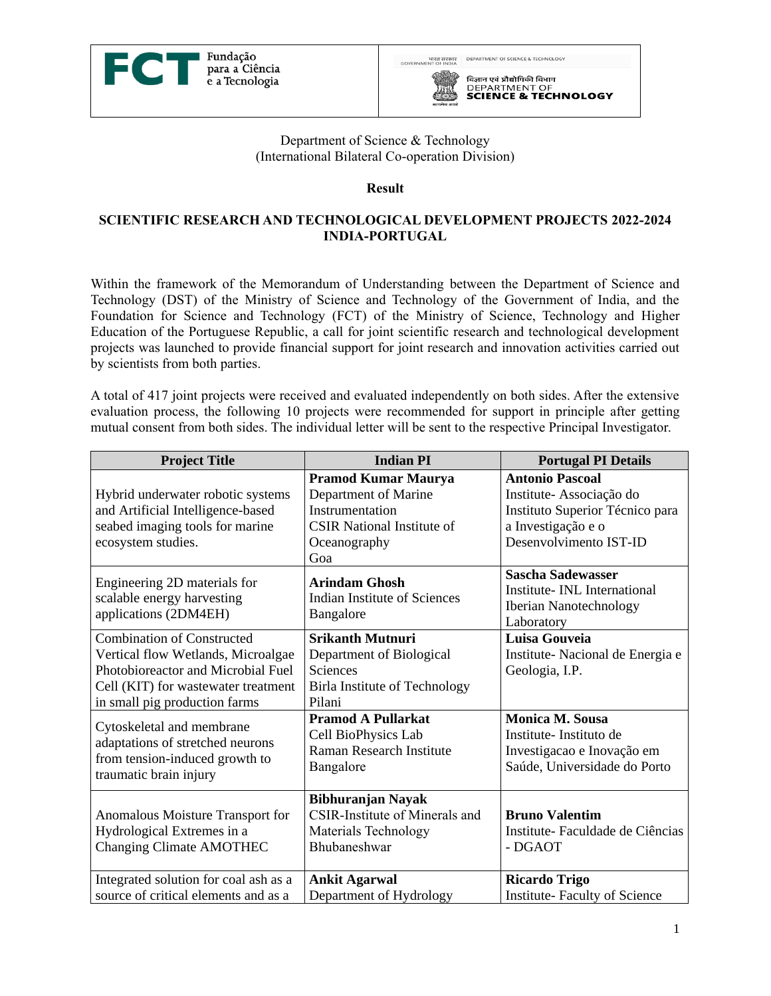



## Department of Science & Technology (International Bilateral Co-operation Division)

## **Result**

## **SCIENTIFIC RESEARCH AND TECHNOLOGICAL DEVELOPMENT PROJECTS 2022-2024 INDIA-PORTUGAL**

Within the framework of the Memorandum of Understanding between the Department of Science and Technology (DST) of the Ministry of Science and Technology of the Government of India, and the Foundation for Science and Technology (FCT) of the Ministry of Science, Technology and Higher Education of the Portuguese Republic, a call for joint scientific research and technological development projects was launched to provide financial support for joint research and innovation activities carried out by scientists from both parties.

A total of 417 joint projects were received and evaluated independently on both sides. After the extensive evaluation process, the following 10 projects were recommended for support in principle after getting mutual consent from both sides. The individual letter will be sent to the respective Principal Investigator.

| <b>Project Title</b>                                                                                                                                                                                                   | <b>Indian PI</b>                                                                                                                                                                                              | <b>Portugal PI Details</b>                                                                                                                                                                                                               |
|------------------------------------------------------------------------------------------------------------------------------------------------------------------------------------------------------------------------|---------------------------------------------------------------------------------------------------------------------------------------------------------------------------------------------------------------|------------------------------------------------------------------------------------------------------------------------------------------------------------------------------------------------------------------------------------------|
| Hybrid underwater robotic systems<br>and Artificial Intelligence-based<br>seabed imaging tools for marine<br>ecosystem studies.<br>Engineering 2D materials for<br>scalable energy harvesting<br>applications (2DM4EH) | <b>Pramod Kumar Maurya</b><br>Department of Marine<br>Instrumentation<br><b>CSIR National Institute of</b><br>Oceanography<br>Goa<br><b>Arindam Ghosh</b><br><b>Indian Institute of Sciences</b><br>Bangalore | <b>Antonio Pascoal</b><br>Institute-Associação do<br>Instituto Superior Técnico para<br>a Investigação e o<br>Desenvolvimento IST-ID<br><b>Sascha Sadewasser</b><br>Institute- INL International<br>Iberian Nanotechnology<br>Laboratory |
| <b>Combination of Constructed</b><br>Vertical flow Wetlands, Microalgae<br>Photobioreactor and Microbial Fuel<br>Cell (KIT) for wastewater treatment<br>in small pig production farms                                  | <b>Srikanth Mutnuri</b><br>Department of Biological<br>Sciences<br>Birla Institute of Technology<br>Pilani                                                                                                    | Luisa Gouveia<br>Institute- Nacional de Energia e<br>Geologia, I.P.                                                                                                                                                                      |
| Cytoskeletal and membrane<br>adaptations of stretched neurons<br>from tension-induced growth to<br>traumatic brain injury                                                                                              | <b>Pramod A Pullarkat</b><br>Cell BioPhysics Lab<br>Raman Research Institute<br>Bangalore                                                                                                                     | <b>Monica M. Sousa</b><br>Institute-Instituto de<br>Investigacao e Inovação em<br>Saúde, Universidade do Porto                                                                                                                           |
| Anomalous Moisture Transport for<br>Hydrological Extremes in a<br><b>Changing Climate AMOTHEC</b>                                                                                                                      | <b>Bibhuranjan Nayak</b><br>CSIR-Institute of Minerals and<br>Materials Technology<br>Bhubaneshwar                                                                                                            | <b>Bruno Valentim</b><br>Institute- Faculdade de Ciências<br>- DGAOT                                                                                                                                                                     |
| Integrated solution for coal ash as a<br>source of critical elements and as a                                                                                                                                          | <b>Ankit Agarwal</b><br>Department of Hydrology                                                                                                                                                               | <b>Ricardo Trigo</b><br><b>Institute-Faculty of Science</b>                                                                                                                                                                              |